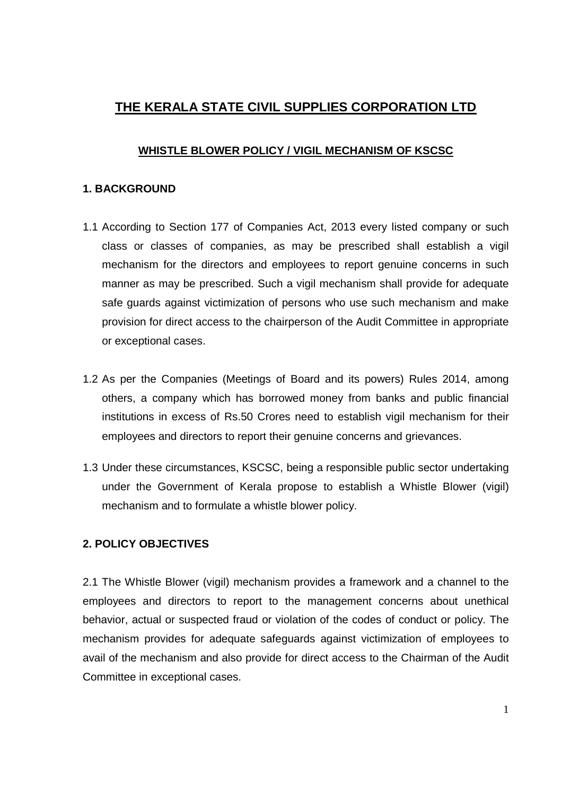# **THE KERALA STATE CIVIL SUPPLIES CORPORATION LTD**

## **WHISTLE BLOWER POLICY / VIGIL MECHANISM OF KSCSC**

### **1. BACKGROUND**

- 1.1 According to Section 177 of Companies Act, 2013 every listed company or such class or classes of companies, as may be prescribed shall establish a vigil mechanism for the directors and employees to report genuine concerns in such manner as may be prescribed. Such a vigil mechanism shall provide for adequate safe guards against victimization of persons who use such mechanism and make provision for direct access to the chairperson of the Audit Committee in appropriate or exceptional cases.
- 1.2 As per the Companies (Meetings of Board and its powers) Rules 2014, among others, a company which has borrowed money from banks and public financial institutions in excess of Rs.50 Crores need to establish vigil mechanism for their employees and directors to report their genuine concerns and grievances.
- 1.3 Under these circumstances, KSCSC, being a responsible public sector undertaking under the Government of Kerala propose to establish a Whistle Blower (vigil) mechanism and to formulate a whistle blower policy.

# **2. POLICY OBJECTIVES**

2.1 The Whistle Blower (vigil) mechanism provides a framework and a channel to the employees and directors to report to the management concerns about unethical behavior, actual or suspected fraud or violation of the codes of conduct or policy. The mechanism provides for adequate safeguards against victimization of employees to avail of the mechanism and also provide for direct access to the Chairman of the Audit Committee in exceptional cases.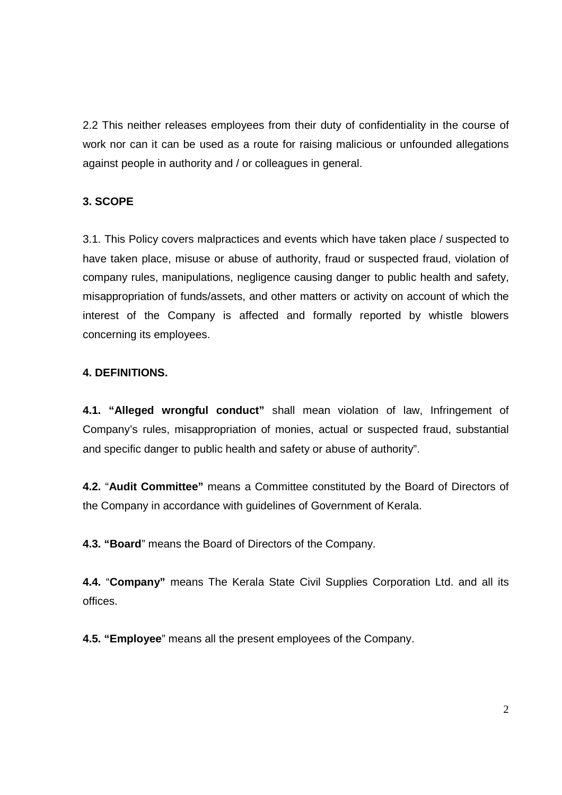2.2 This neither releases employees from their duty of confidentiality in the course of work nor can it can be used as a route for raising malicious or unfounded allegations against people in authority and / or colleagues in general.

# **3. SCOPE**

3.1. This Policy covers malpractices and events which have taken place / suspected to have taken place, misuse or abuse of authority, fraud or suspected fraud, violation of company rules, manipulations, negligence causing danger to public health and safety, misappropriation of funds/assets, and other matters or activity on account of which the interest of the Company is affected and formally reported by whistle blowers concerning its employees.

# **4. DEFINITIONS.**

**4.1. "Alleged wrongful conduct"** shall mean violation of law, Infringement of Company's rules, misappropriation of monies, actual or suspected fraud, substantial and specific danger to public health and safety or abuse of authority".

**4.2.** "**Audit Committee"** means a Committee constituted by the Board of Directors of the Company in accordance with guidelines of Government of Kerala.

**4.3. "Board**" means the Board of Directors of the Company.

**4.4.** "**Company"** means The Kerala State Civil Supplies Corporation Ltd. and all its offices.

**4.5. "Employee**" means all the present employees of the Company.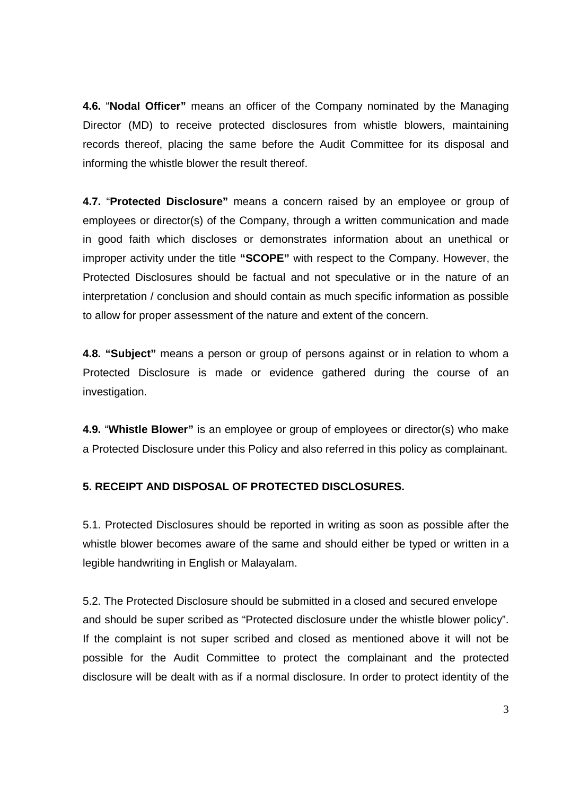**4.6.** "**Nodal Officer"** means an officer of the Company nominated by the Managing Director (MD) to receive protected disclosures from whistle blowers, maintaining records thereof, placing the same before the Audit Committee for its disposal and informing the whistle blower the result thereof.

**4.7.** "**Protected Disclosure"** means a concern raised by an employee or group of employees or director(s) of the Company, through a written communication and made in good faith which discloses or demonstrates information about an unethical or improper activity under the title **"SCOPE"** with respect to the Company. However, the Protected Disclosures should be factual and not speculative or in the nature of an interpretation / conclusion and should contain as much specific information as possible to allow for proper assessment of the nature and extent of the concern.

**4.8. "Subject"** means a person or group of persons against or in relation to whom a Protected Disclosure is made or evidence gathered during the course of an investigation.

**4.9.** "**Whistle Blower"** is an employee or group of employees or director(s) who make a Protected Disclosure under this Policy and also referred in this policy as complainant.

# **5. RECEIPT AND DISPOSAL OF PROTECTED DISCLOSURES.**

5.1. Protected Disclosures should be reported in writing as soon as possible after the whistle blower becomes aware of the same and should either be typed or written in a legible handwriting in English or Malayalam.

5.2. The Protected Disclosure should be submitted in a closed and secured envelope and should be super scribed as "Protected disclosure under the whistle blower policy". If the complaint is not super scribed and closed as mentioned above it will not be possible for the Audit Committee to protect the complainant and the protected disclosure will be dealt with as if a normal disclosure. In order to protect identity of the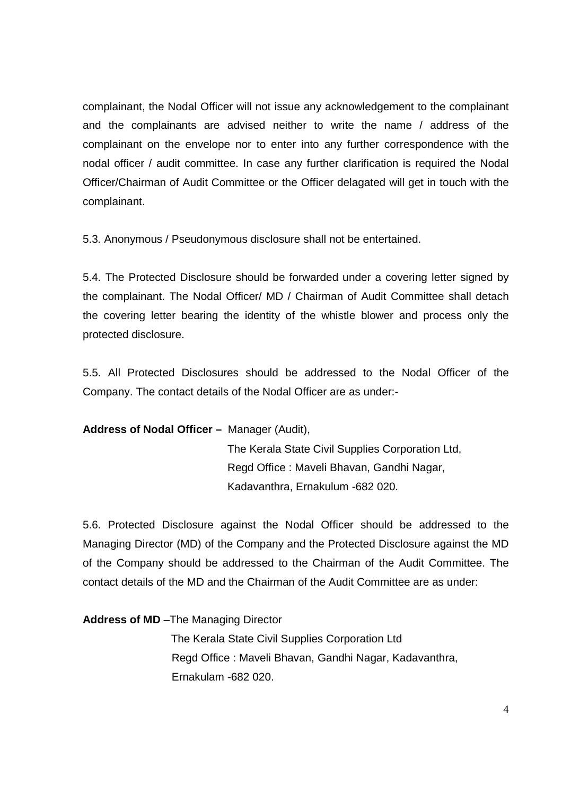complainant, the Nodal Officer will not issue any acknowledgement to the complainant and the complainants are advised neither to write the name / address of the complainant on the envelope nor to enter into any further correspondence with the nodal officer / audit committee. In case any further clarification is required the Nodal Officer/Chairman of Audit Committee or the Officer delagated will get in touch with the complainant.

5.3. Anonymous / Pseudonymous disclosure shall not be entertained.

5.4. The Protected Disclosure should be forwarded under a covering letter signed by the complainant. The Nodal Officer/ MD / Chairman of Audit Committee shall detach the covering letter bearing the identity of the whistle blower and process only the protected disclosure.

5.5. All Protected Disclosures should be addressed to the Nodal Officer of the Company. The contact details of the Nodal Officer are as under:-

**Address of Nodal Officer –** Manager (Audit),

 The Kerala State Civil Supplies Corporation Ltd, Regd Office : Maveli Bhavan, Gandhi Nagar, Kadavanthra, Ernakulum -682 020.

5.6. Protected Disclosure against the Nodal Officer should be addressed to the Managing Director (MD) of the Company and the Protected Disclosure against the MD of the Company should be addressed to the Chairman of the Audit Committee. The contact details of the MD and the Chairman of the Audit Committee are as under:

**Address of MD** –The Managing Director

 The Kerala State Civil Supplies Corporation Ltd Regd Office : Maveli Bhavan, Gandhi Nagar, Kadavanthra, Ernakulam -682 020.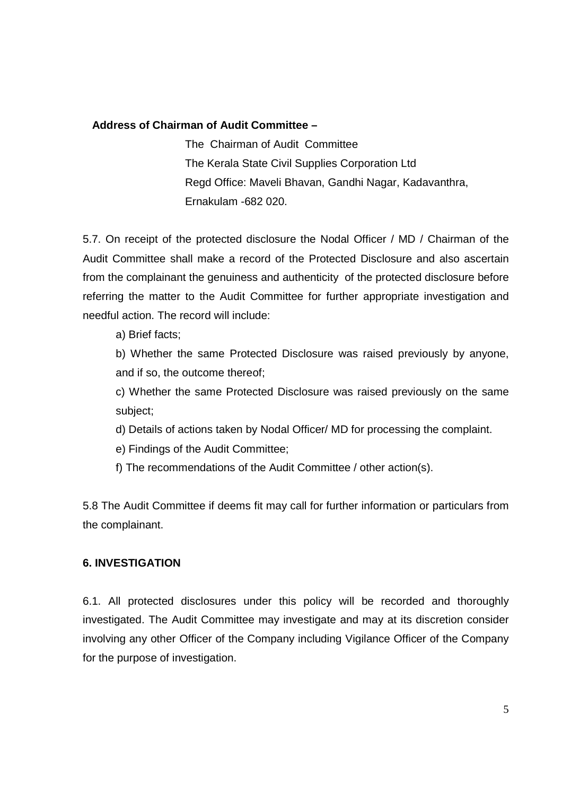### **Address of Chairman of Audit Committee –**

The Chairman of Audit Committee The Kerala State Civil Supplies Corporation Ltd Regd Office: Maveli Bhavan, Gandhi Nagar, Kadavanthra, Ernakulam -682 020.

5.7. On receipt of the protected disclosure the Nodal Officer / MD / Chairman of the Audit Committee shall make a record of the Protected Disclosure and also ascertain from the complainant the genuiness and authenticity of the protected disclosure before referring the matter to the Audit Committee for further appropriate investigation and needful action. The record will include:

a) Brief facts;

b) Whether the same Protected Disclosure was raised previously by anyone, and if so, the outcome thereof;

c) Whether the same Protected Disclosure was raised previously on the same subject;

d) Details of actions taken by Nodal Officer/ MD for processing the complaint.

- e) Findings of the Audit Committee;
- f) The recommendations of the Audit Committee / other action(s).

5.8 The Audit Committee if deems fit may call for further information or particulars from the complainant.

#### **6. INVESTIGATION**

6.1. All protected disclosures under this policy will be recorded and thoroughly investigated. The Audit Committee may investigate and may at its discretion consider involving any other Officer of the Company including Vigilance Officer of the Company for the purpose of investigation.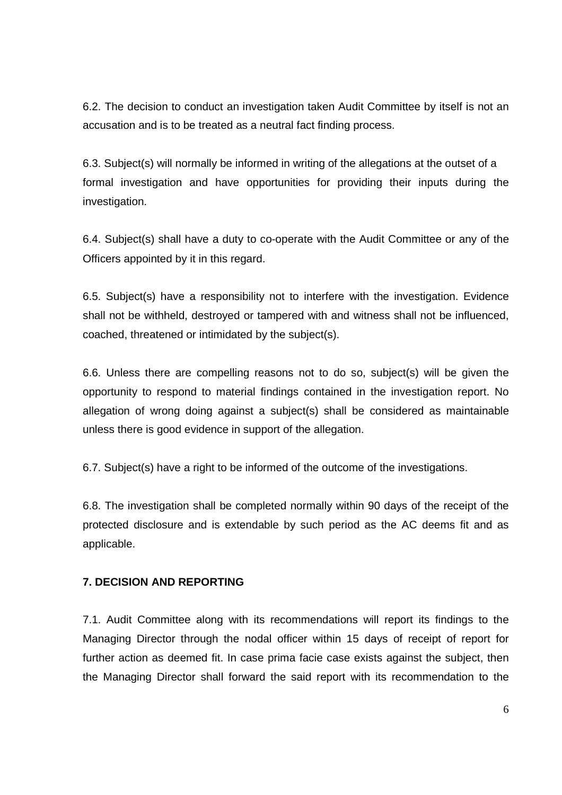6.2. The decision to conduct an investigation taken Audit Committee by itself is not an accusation and is to be treated as a neutral fact finding process.

6.3. Subject(s) will normally be informed in writing of the allegations at the outset of a formal investigation and have opportunities for providing their inputs during the investigation.

6.4. Subject(s) shall have a duty to co-operate with the Audit Committee or any of the Officers appointed by it in this regard.

6.5. Subject(s) have a responsibility not to interfere with the investigation. Evidence shall not be withheld, destroyed or tampered with and witness shall not be influenced, coached, threatened or intimidated by the subject(s).

6.6. Unless there are compelling reasons not to do so, subject(s) will be given the opportunity to respond to material findings contained in the investigation report. No allegation of wrong doing against a subject(s) shall be considered as maintainable unless there is good evidence in support of the allegation.

6.7. Subject(s) have a right to be informed of the outcome of the investigations.

6.8. The investigation shall be completed normally within 90 days of the receipt of the protected disclosure and is extendable by such period as the AC deems fit and as applicable.

### **7. DECISION AND REPORTING**

7.1. Audit Committee along with its recommendations will report its findings to the Managing Director through the nodal officer within 15 days of receipt of report for further action as deemed fit. In case prima facie case exists against the subject, then the Managing Director shall forward the said report with its recommendation to the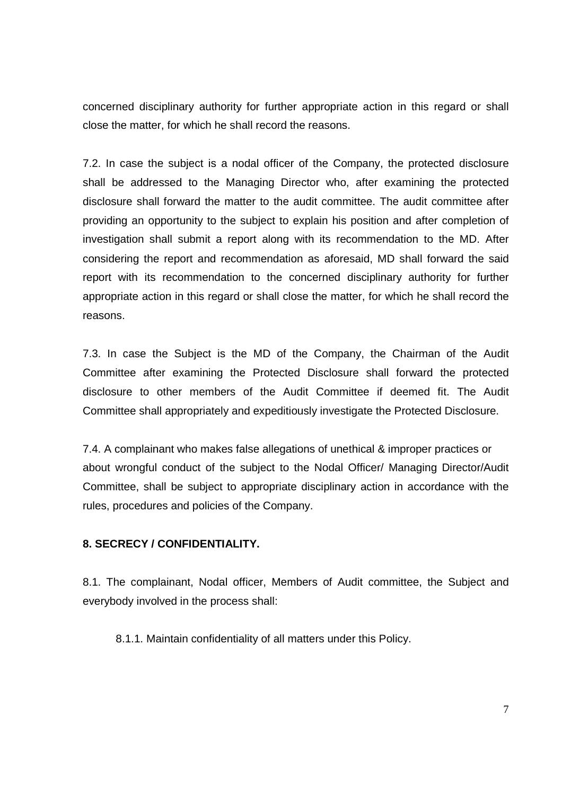concerned disciplinary authority for further appropriate action in this regard or shall close the matter, for which he shall record the reasons.

7.2. In case the subject is a nodal officer of the Company, the protected disclosure shall be addressed to the Managing Director who, after examining the protected disclosure shall forward the matter to the audit committee. The audit committee after providing an opportunity to the subject to explain his position and after completion of investigation shall submit a report along with its recommendation to the MD. After considering the report and recommendation as aforesaid, MD shall forward the said report with its recommendation to the concerned disciplinary authority for further appropriate action in this regard or shall close the matter, for which he shall record the reasons.

7.3. In case the Subject is the MD of the Company, the Chairman of the Audit Committee after examining the Protected Disclosure shall forward the protected disclosure to other members of the Audit Committee if deemed fit. The Audit Committee shall appropriately and expeditiously investigate the Protected Disclosure.

7.4. A complainant who makes false allegations of unethical & improper practices or about wrongful conduct of the subject to the Nodal Officer/ Managing Director/Audit Committee, shall be subject to appropriate disciplinary action in accordance with the rules, procedures and policies of the Company.

### **8. SECRECY / CONFIDENTIALITY.**

8.1. The complainant, Nodal officer, Members of Audit committee, the Subject and everybody involved in the process shall:

8.1.1. Maintain confidentiality of all matters under this Policy.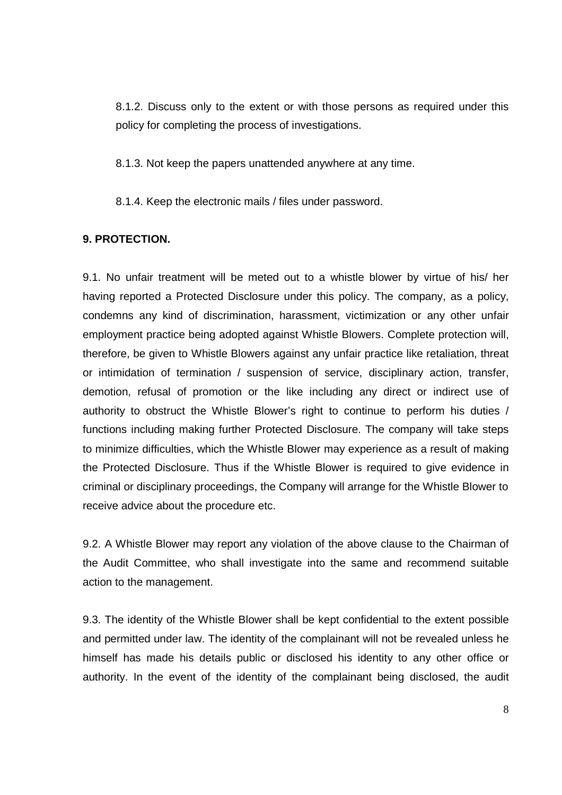8.1.2. Discuss only to the extent or with those persons as required under this policy for completing the process of investigations.

8.1.3. Not keep the papers unattended anywhere at any time.

8.1.4. Keep the electronic mails / files under password.

#### **9. PROTECTION.**

9.1. No unfair treatment will be meted out to a whistle blower by virtue of his/ her having reported a Protected Disclosure under this policy. The company, as a policy, condemns any kind of discrimination, harassment, victimization or any other unfair employment practice being adopted against Whistle Blowers. Complete protection will, therefore, be given to Whistle Blowers against any unfair practice like retaliation, threat or intimidation of termination / suspension of service, disciplinary action, transfer, demotion, refusal of promotion or the like including any direct or indirect use of authority to obstruct the Whistle Blower's right to continue to perform his duties / functions including making further Protected Disclosure. The company will take steps to minimize difficulties, which the Whistle Blower may experience as a result of making the Protected Disclosure. Thus if the Whistle Blower is required to give evidence in criminal or disciplinary proceedings, the Company will arrange for the Whistle Blower to receive advice about the procedure etc.

9.2. A Whistle Blower may report any violation of the above clause to the Chairman of the Audit Committee, who shall investigate into the same and recommend suitable action to the management.

9.3. The identity of the Whistle Blower shall be kept confidential to the extent possible and permitted under law. The identity of the complainant will not be revealed unless he himself has made his details public or disclosed his identity to any other office or authority. In the event of the identity of the complainant being disclosed, the audit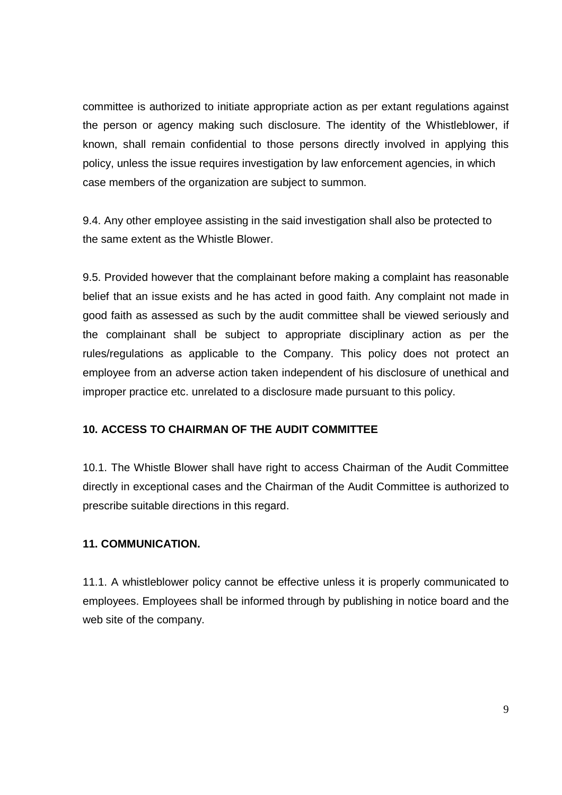committee is authorized to initiate appropriate action as per extant regulations against the person or agency making such disclosure. The identity of the Whistleblower, if known, shall remain confidential to those persons directly involved in applying this policy, unless the issue requires investigation by law enforcement agencies, in which case members of the organization are subject to summon.

9.4. Any other employee assisting in the said investigation shall also be protected to the same extent as the Whistle Blower.

9.5. Provided however that the complainant before making a complaint has reasonable belief that an issue exists and he has acted in good faith. Any complaint not made in good faith as assessed as such by the audit committee shall be viewed seriously and the complainant shall be subject to appropriate disciplinary action as per the rules/regulations as applicable to the Company. This policy does not protect an employee from an adverse action taken independent of his disclosure of unethical and improper practice etc. unrelated to a disclosure made pursuant to this policy.

### **10. ACCESS TO CHAIRMAN OF THE AUDIT COMMITTEE**

10.1. The Whistle Blower shall have right to access Chairman of the Audit Committee directly in exceptional cases and the Chairman of the Audit Committee is authorized to prescribe suitable directions in this regard.

### **11. COMMUNICATION.**

11.1. A whistleblower policy cannot be effective unless it is properly communicated to employees. Employees shall be informed through by publishing in notice board and the web site of the company.